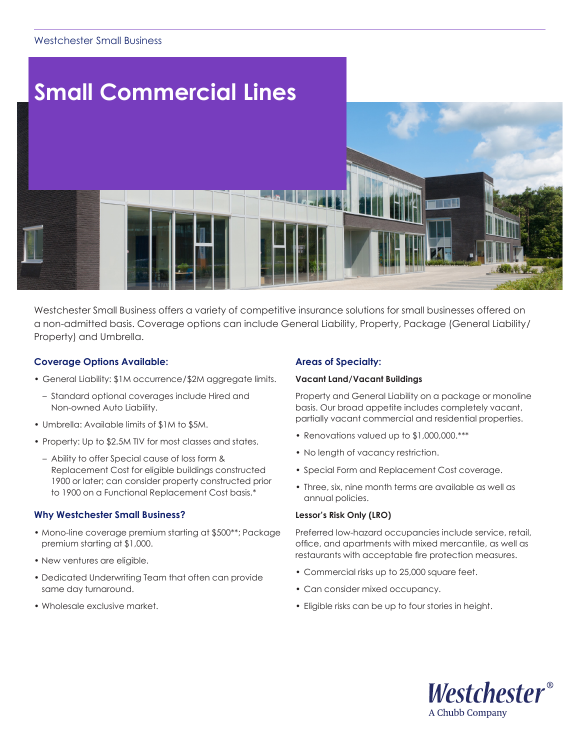# Westchester Small Business



Westchester Small Business offers a variety of competitive insurance solutions for small businesses offered on a non-admitted basis. Coverage options can include General Liability, Property, Package (General Liability/ Property) and Umbrella.

# **Coverage Options Available:**

- General Liability: \$1M occurrence/\$2M aggregate limits.
- Standard optional coverages include Hired and Non-owned Auto Liability.
- Umbrella: Available limits of \$1M to \$5M.
- Property: Up to \$2.5M TIV for most classes and states.
	- Ability to offer Special cause of loss form & Replacement Cost for eligible buildings constructed 1900 or later; can consider property constructed prior to 1900 on a Functional Replacement Cost basis.\*

#### **Why Westchester Small Business?**

- Mono-line coverage premium starting at \$500\*\*; Package premium starting at \$1,000.
- New ventures are eligible.
- Dedicated Underwriting Team that often can provide same day turnaround.
- Wholesale exclusive market.

### **Areas of Specialty:**

#### **Vacant Land/Vacant Buildings**

Property and General Liability on a package or monoline basis. Our broad appetite includes completely vacant, partially vacant commercial and residential properties.

- Renovations valued up to \$1,000,000.\*\*\*
- No length of vacancy restriction.
- Special Form and Replacement Cost coverage.
- Three, six, nine month terms are available as well as annual policies.

#### **Lessor's Risk Only (LRO)**

Preferred low-hazard occupancies include service, retail, office, and apartments with mixed mercantile, as well as restaurants with acceptable fire protection measures.

- Commercial risks up to 25,000 square feet.
- Can consider mixed occupancy.
- Eligible risks can be up to four stories in height.